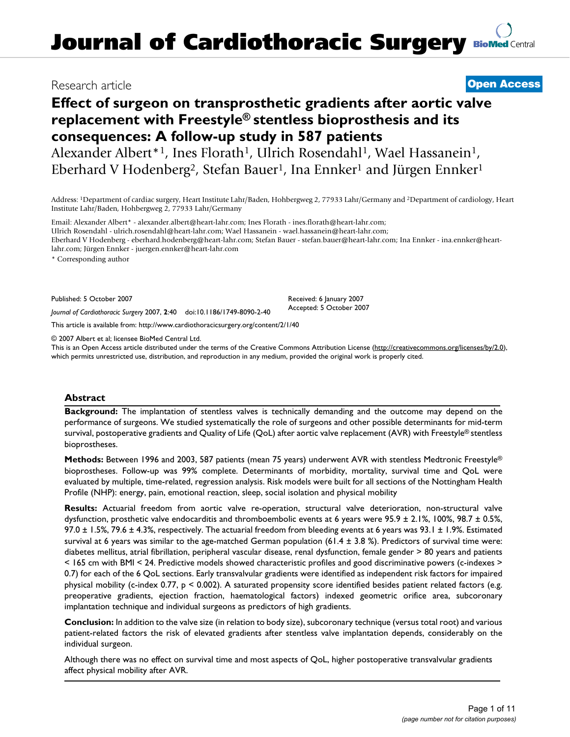# Research article **[Open Access](http://www.biomedcentral.com/info/about/charter/)**

# **Effect of surgeon on transprosthetic gradients after aortic valve replacement with Freestyle® stentless bioprosthesis and its consequences: A follow-up study in 587 patients**

Alexander Albert<sup>\*1</sup>, Ines Florath<sup>1</sup>, Ulrich Rosendahl<sup>1</sup>, Wael Hassanein<sup>1</sup>, Eberhard V Hodenberg2, Stefan Bauer1, Ina Ennker1 and Jürgen Ennker1

Address: 1Department of cardiac surgery, Heart Institute Lahr/Baden, Hohbergweg 2, 77933 Lahr/Germany and 2Department of cardiology, Heart Institute Lahr/Baden, Hohbergweg 2, 77933 Lahr/Germany

Email: Alexander Albert\* - alexander.albert@heart-lahr.com; Ines Florath - ines.florath@heart-lahr.com; Ulrich Rosendahl - ulrich.rosendahl@heart-lahr.com; Wael Hassanein - wael.hassanein@heart-lahr.com; Eberhard V Hodenberg - eberhard.hodenberg@heart-lahr.com; Stefan Bauer - stefan.bauer@heart-lahr.com; Ina Ennker - ina.ennker@heartlahr.com; Jürgen Ennker - juergen.ennker@heart-lahr.com

\* Corresponding author

Published: 5 October 2007

*Journal of Cardiothoracic Surgery* 2007, **2**:40 doi:10.1186/1749-8090-2-40

[This article is available from: http://www.cardiothoracicsurgery.org/content/2/1/40](http://www.cardiothoracicsurgery.org/content/2/1/40)

© 2007 Albert et al; licensee BioMed Central Ltd.

This is an Open Access article distributed under the terms of the Creative Commons Attribution License [\(http://creativecommons.org/licenses/by/2.0\)](http://creativecommons.org/licenses/by/2.0), which permits unrestricted use, distribution, and reproduction in any medium, provided the original work is properly cited.

Received: 6 January 2007 Accepted: 5 October 2007

# **Abstract**

**Background:** The implantation of stentless valves is technically demanding and the outcome may depend on the performance of surgeons. We studied systematically the role of surgeons and other possible determinants for mid-term survival, postoperative gradients and Quality of Life (QoL) after aortic valve replacement (AVR) with Freestyle® stentless bioprostheses.

**Methods:** Between 1996 and 2003, 587 patients (mean 75 years) underwent AVR with stentless Medtronic Freestyle® bioprostheses. Follow-up was 99% complete. Determinants of morbidity, mortality, survival time and QoL were evaluated by multiple, time-related, regression analysis. Risk models were built for all sections of the Nottingham Health Profile (NHP): energy, pain, emotional reaction, sleep, social isolation and physical mobility

**Results:** Actuarial freedom from aortic valve re-operation, structural valve deterioration, non-structural valve dysfunction, prosthetic valve endocarditis and thromboembolic events at 6 years were 95.9 ± 2.1%, 100%, 98.7 ± 0.5%, 97.0  $\pm$  1.5%, 79.6  $\pm$  4.3%, respectively. The actuarial freedom from bleeding events at 6 years was 93.1  $\pm$  1.9%. Estimated survival at 6 years was similar to the age-matched German population  $(61.4 \pm 3.8 \%)$ . Predictors of survival time were: diabetes mellitus, atrial fibrillation, peripheral vascular disease, renal dysfunction, female gender > 80 years and patients < 165 cm with BMI < 24. Predictive models showed characteristic profiles and good discriminative powers (c-indexes > 0.7) for each of the 6 QoL sections. Early transvalvular gradients were identified as independent risk factors for impaired physical mobility (c-index 0.77, p < 0.002). A saturated propensity score identified besides patient related factors (e.g. preoperative gradients, ejection fraction, haematological factors) indexed geometric orifice area, subcoronary implantation technique and individual surgeons as predictors of high gradients.

**Conclusion:** In addition to the valve size (in relation to body size), subcoronary technique (versus total root) and various patient-related factors the risk of elevated gradients after stentless valve implantation depends, considerably on the individual surgeon.

Although there was no effect on survival time and most aspects of QoL, higher postoperative transvalvular gradients affect physical mobility after AVR.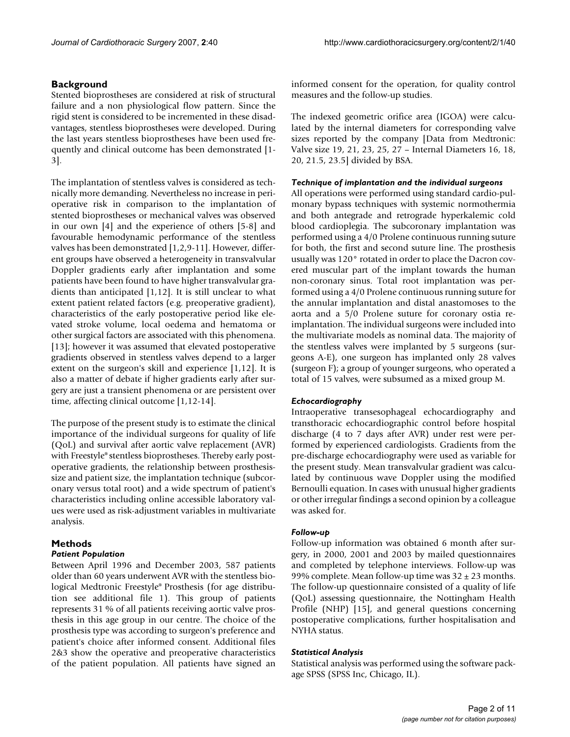## **Background**

Stented bioprostheses are considered at risk of structural failure and a non physiological flow pattern. Since the rigid stent is considered to be incremented in these disadvantages, stentless bioprostheses were developed. During the last years stentless bioprostheses have been used frequently and clinical outcome has been demonstrated [1- 3].

The implantation of stentless valves is considered as technically more demanding. Nevertheless no increase in perioperative risk in comparison to the implantation of stented bioprostheses or mechanical valves was observed in our own [4] and the experience of others [5-8] and favourable hemodynamic performance of the stentless valves has been demonstrated [1,2,9-11]. However, different groups have observed a heterogeneity in transvalvular Doppler gradients early after implantation and some patients have been found to have higher transvalvular gradients than anticipated [1,12]. It is still unclear to what extent patient related factors (e.g. preoperative gradient), characteristics of the early postoperative period like elevated stroke volume, local oedema and hematoma or other surgical factors are associated with this phenomena. [13]; however it was assumed that elevated postoperative gradients observed in stentless valves depend to a larger extent on the surgeon's skill and experience [1,12]. It is also a matter of debate if higher gradients early after surgery are just a transient phenomena or are persistent over time, affecting clinical outcome [1,12-14].

The purpose of the present study is to estimate the clinical importance of the individual surgeons for quality of life (QoL) and survival after aortic valve replacement (AVR) with Freestyle® stentless bioprostheses. Thereby early postoperative gradients, the relationship between prosthesissize and patient size, the implantation technique (subcoronary versus total root) and a wide spectrum of patient's characteristics including online accessible laboratory values were used as risk-adjustment variables in multivariate analysis.

## **Methods**

#### *Patient Population*

Between April 1996 and December 2003, 587 patients older than 60 years underwent AVR with the stentless biological Medtronic Freestyle® Prosthesis (for age distribution see additional file 1). This group of patients represents 31 % of all patients receiving aortic valve prosthesis in this age group in our centre. The choice of the prosthesis type was according to surgeon's preference and patient's choice after informed consent. Additional files 2&3 show the operative and preoperative characteristics of the patient population. All patients have signed an informed consent for the operation, for quality control measures and the follow-up studies.

The indexed geometric orifice area (IGOA) were calculated by the internal diameters for corresponding valve sizes reported by the company [Data from Medtronic: Valve size 19, 21, 23, 25, 27 – Internal Diameters 16, 18, 20, 21.5, 23.5] divided by BSA.

#### *Technique of implantation and the individual surgeons*

All operations were performed using standard cardio-pulmonary bypass techniques with systemic normothermia and both antegrade and retrograde hyperkalemic cold blood cardioplegia. The subcoronary implantation was performed using a 4/0 Prolene continuous running suture for both, the first and second suture line. The prosthesis usually was 120° rotated in order to place the Dacron covered muscular part of the implant towards the human non-coronary sinus. Total root implantation was performed using a 4/0 Prolene continuous running suture for the annular implantation and distal anastomoses to the aorta and a 5/0 Prolene suture for coronary ostia reimplantation. The individual surgeons were included into the multivariate models as nominal data. The majority of the stentless valves were implanted by 5 surgeons (surgeons A-E), one surgeon has implanted only 28 valves (surgeon F); a group of younger surgeons, who operated a total of 15 valves, were subsumed as a mixed group M.

#### *Echocardiography*

Intraoperative transesophageal echocardiography and transthoracic echocardiographic control before hospital discharge (4 to 7 days after AVR) under rest were performed by experienced cardiologists. Gradients from the pre-discharge echocardiography were used as variable for the present study. Mean transvalvular gradient was calculated by continuous wave Doppler using the modified Bernoulli equation. In cases with unusual higher gradients or other irregular findings a second opinion by a colleague was asked for.

#### *Follow-up*

Follow-up information was obtained 6 month after surgery, in 2000, 2001 and 2003 by mailed questionnaires and completed by telephone interviews. Follow-up was 99% complete. Mean follow-up time was  $32 \pm 23$  months. The follow-up questionnaire consisted of a quality of life (QoL) assessing questionnaire, the Nottingham Health Profile (NHP) [15], and general questions concerning postoperative complications, further hospitalisation and NYHA status.

#### *Statistical Analysis*

Statistical analysis was performed using the software package SPSS (SPSS Inc, Chicago, IL).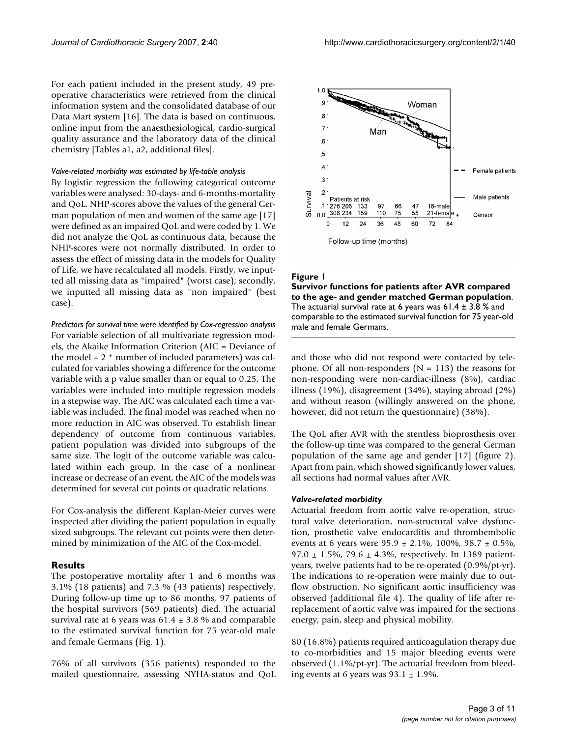For each patient included in the present study, 49 preoperative characteristics were retrieved from the clinical information system and the consolidated database of our Data Mart system [16]. The data is based on continuous, online input from the anaesthesiological, cardio-surgical quality assurance and the laboratory data of the clinical chemistry [Tables a1, a2, additional files].

#### *Valve-related morbidity was estimated by life-table analysis*

By logistic regression the following categorical outcome variables were analysed: 30-days- and 6-months-mortality and QoL. NHP-scores above the values of the general German population of men and women of the same age [17] were defined as an impaired QoL and were coded by 1. We did not analyze the QoL as continuous data, because the NHP-scores were not normally distributed. In order to assess the effect of missing data in the models for Quality of Life, we have recalculated all models. Firstly, we inputted all missing data as "impaired" (worst case); secondly, we inputted all missing data as "non impaired" (best case).

*Predictors for survival time were identified by Cox-regression analysis* For variable selection of all multivariate regression models, the Akaike Information Criterion (AIC = Deviance of the model + 2 \* number of included parameters) was calculated for variables showing a difference for the outcome variable with a p value smaller than or equal to 0.25. The variables were included into multiple regression models in a stepwise way. The AIC was calculated each time a variable was included. The final model was reached when no more reduction in AIC was observed. To establish linear dependency of outcome from continuous variables, patient population was divided into subgroups of the same size. The logit of the outcome variable was calculated within each group. In the case of a nonlinear increase or decrease of an event, the AIC of the models was determined for several cut points or quadratic relations.

For Cox-analysis the different Kaplan-Meier curves were inspected after dividing the patient population in equally sized subgroups. The relevant cut points were then determined by minimization of the AIC of the Cox-model.

## **Results**

The postoperative mortality after 1 and 6 months was 3.1% (18 patients) and 7.3 % (43 patients) respectively. During follow-up time up to 86 months, 97 patients of the hospital survivors (569 patients) died. The actuarial survival rate at 6 years was  $61.4 \pm 3.8$  % and comparable to the estimated survival function for 75 year-old male and female Germans (Fig. 1).

76% of all survivors (356 patients) responded to the mailed questionnaire, assessing NYHA-status and QoL



#### Figure 1

**Survivor functions for patients after AVR compared to the age- and gender matched German population**. The actuarial survival rate at 6 years was  $61.4 \pm 3.8$  % and comparable to the estimated survival function for 75 year-old male and female Germans.

and those who did not respond were contacted by telephone. Of all non-responders ( $N = 113$ ) the reasons for non-responding were non-cardiac-illness (8%), cardiac illness (19%), disagreement (34%), staying abroad (2%) and without reason (willingly answered on the phone, however, did not return the questionnaire) (38%).

The QoL after AVR with the stentless bioprosthesis over the follow-up time was compared to the general German population of the same age and gender [17] (figure 2). Apart from pain, which showed significantly lower values, all sections had normal values after AVR.

#### *Valve-related morbidity*

Actuarial freedom from aortic valve re-operation, structural valve deterioration, non-structural valve dysfunction, prosthetic valve endocarditis and thrombembolic events at 6 years were  $95.9 \pm 2.1\%$ , 100%,  $98.7 \pm 0.5\%$ , 97.0  $\pm$  1.5%, 79.6  $\pm$  4.3%, respectively. In 1389 patientyears, twelve patients had to be re-operated (0.9%/pt-yr). The indications to re-operation were mainly due to outflow obstruction. No significant aortic insufficiency was observed (additional file 4). The quality of life after rereplacement of aortic valve was impaired for the sections energy, pain, sleep and physical mobility.

80 (16.8%) patients required anticoagulation therapy due to co-morbidities and 15 major bleeding events were observed (1.1%/pt-yr). The actuarial freedom from bleeding events at 6 years was  $93.1 \pm 1.9\%$ .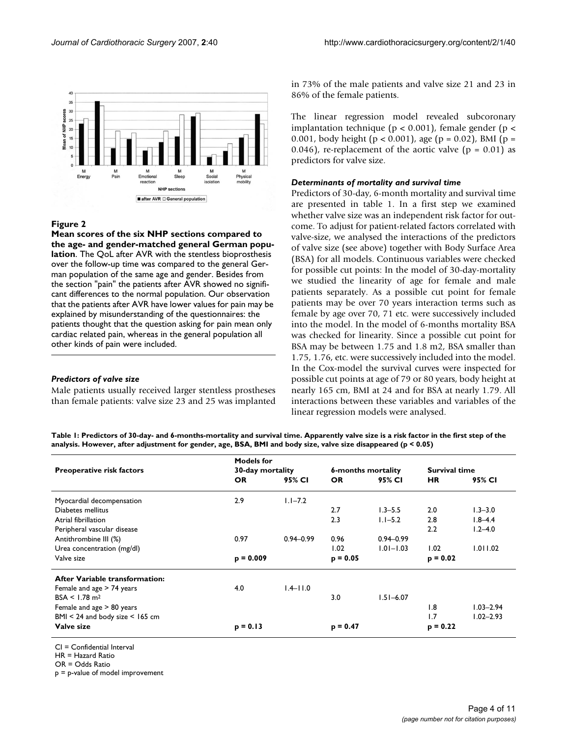

#### Figure 2

**Mean scores of the six NHP sections compared to the age- and gender-matched general German population**. The QoL after AVR with the stentless bioprosthesis over the follow-up time was compared to the general German population of the same age and gender. Besides from the section "pain" the patients after AVR showed no significant differences to the normal population. Our observation that the patients after AVR have lower values for pain may be explained by misunderstanding of the questionnaires: the patients thought that the question asking for pain mean only cardiac related pain, whereas in the general population all other kinds of pain were included.

#### *Predictors of valve size*

Male patients usually received larger stentless prostheses than female patients: valve size 23 and 25 was implanted in 73% of the male patients and valve size 21 and 23 in 86% of the female patients.

The linear regression model revealed subcoronary implantation technique ( $p < 0.001$ ), female gender ( $p <$ 0.001, body height ( $p < 0.001$ ), age ( $p = 0.02$ ), BMI ( $p = 0.001$ ) 0.046), re-replacement of the aortic valve ( $p = 0.01$ ) as predictors for valve size.

#### *Determinants of mortality and survival time*

Predictors of 30-day, 6-month mortality and survival time are presented in table 1. In a first step we examined whether valve size was an independent risk factor for outcome. To adjust for patient-related factors correlated with valve-size, we analysed the interactions of the predictors of valve size (see above) together with Body Surface Area (BSA) for all models. Continuous variables were checked for possible cut points: In the model of 30-day-mortality we studied the linearity of age for female and male patients separately. As a possible cut point for female patients may be over 70 years interaction terms such as female by age over 70, 71 etc. were successively included into the model. In the model of 6-months mortality BSA was checked for linearity. Since a possible cut point for BSA may be between 1.75 and 1.8 m2, BSA smaller than 1.75, 1.76, etc. were successively included into the model. In the Cox-model the survival curves were inspected for possible cut points at age of 79 or 80 years, body height at nearly 165 cm, BMI at 24 and for BSA at nearly 1.79. All interactions between these variables and variables of the linear regression models were analysed.

**Table 1: Predictors of 30-day- and 6-months-mortality and survival time. Apparently valve size is a risk factor in the first step of the analysis. However, after adjustment for gender, age, BSA, BMI and body size, valve size disappeared (p < 0.05)**

|                                       | <b>Models for</b> |               |                    |               |                      |               |
|---------------------------------------|-------------------|---------------|--------------------|---------------|----------------------|---------------|
| <b>Preoperative risk factors</b>      | 30-day mortality  |               | 6-months mortality |               | <b>Survival time</b> |               |
|                                       | <b>OR</b>         | 95% CI        | <b>OR</b>          | 95% CI        | <b>HR</b>            | 95% CI        |
| Myocardial decompensation             | 2.9               | $1.1 - 7.2$   |                    |               |                      |               |
| Diabetes mellitus                     |                   |               | 2.7                | $1.3 - 5.5$   | 2.0                  | $1.3 - 3.0$   |
| Atrial fibrillation                   |                   |               | 2.3                | $1.1 - 5.2$   | 2.8                  | $1.8 - 4.4$   |
| Peripheral vascular disease           |                   |               |                    |               | 2.2                  | $1.2 - 4.0$   |
| Antithrombine III (%)                 | 0.97              | $0.94 - 0.99$ | 0.96               | $0.94 - 0.99$ |                      |               |
| Urea concentration (mg/dl)            |                   |               | 1.02               | $1.01 - 1.03$ | 1.02                 | 1.011.02      |
| Valve size                            | $p = 0.009$       |               | $p = 0.05$         |               | $p = 0.02$           |               |
| <b>After Variable transformation:</b> |                   |               |                    |               |                      |               |
| Female and age $> 74$ years           | 4.0               | $1.4 - 11.0$  |                    |               |                      |               |
| $BSA < 1.78$ m <sup>2</sup>           |                   |               | 3.0                | $1.51 - 6.07$ |                      |               |
| Female and age > 80 years             |                   |               |                    |               | 1.8                  | $1.03 - 2.94$ |
| BMI < 24 and body size < 165 cm       |                   |               |                    |               | 1.7                  | $1.02 - 2.93$ |
| Valve size                            | $p = 0.13$        |               | $p = 0.47$         |               | $p = 0.22$           |               |

CI = Confidential Interval

HR = Hazard Ratio

OR = Odds Ratio

p = p-value of model improvement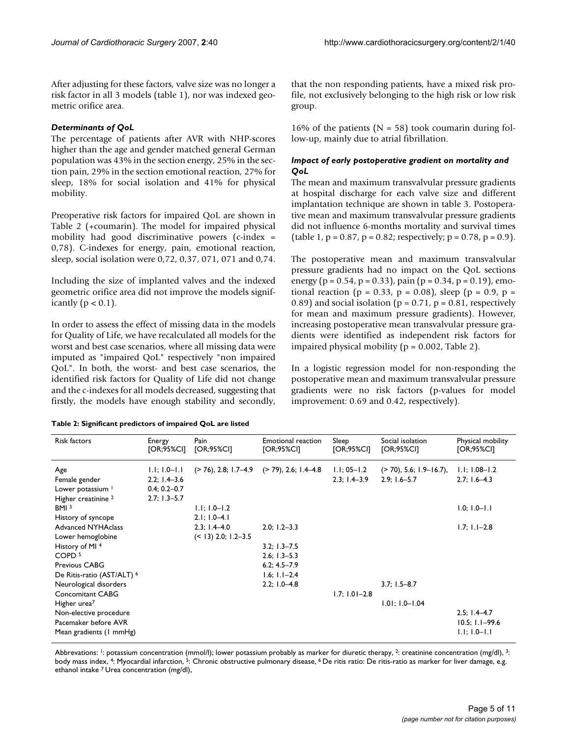After adjusting for these factors, valve size was no longer a risk factor in all 3 models (table 1), nor was indexed geometric orifice area.

#### *Determinants of QoL*

The percentage of patients after AVR with NHP-scores higher than the age and gender matched general German population was 43% in the section energy, 25% in the section pain, 29% in the section emotional reaction, 27% for sleep, 18% for social isolation and 41% for physical mobility.

Preoperative risk factors for impaired QoL are shown in Table 2 (+coumarin). The model for impaired physical mobility had good discriminative powers (c-index = 0,78). C-indexes for energy, pain, emotional reaction, sleep, social isolation were 0,72, 0,37, 071, 071 and 0,74.

Including the size of implanted valves and the indexed geometric orifice area did not improve the models significantly ( $p < 0.1$ ).

In order to assess the effect of missing data in the models for Quality of Life, we have recalculated all models for the worst and best case scenarios, where all missing data were imputed as "impaired QoL" respectively "non impaired QoL". In both, the worst- and best case scenarios, the identified risk factors for Quality of Life did not change and the c-indexes for all models decreased, suggesting that firstly, the models have enough stability and secondly,

that the non responding patients, have a mixed risk profile, not exclusively belonging to the high risk or low risk group.

16% of the patients ( $N = 58$ ) took coumarin during follow-up, mainly due to atrial fibrillation.

## *Impact of early postoperative gradient on mortality and QoL*

The mean and maximum transvalvular pressure gradients at hospital discharge for each valve size and different implantation technique are shown in table 3. Postoperative mean and maximum transvalvular pressure gradients did not influence 6-months mortality and survival times (table 1,  $p = 0.87$ ,  $p = 0.82$ ; respectively;  $p = 0.78$ ,  $p = 0.9$ ).

The postoperative mean and maximum transvalvular pressure gradients had no impact on the QoL sections energy ( $p = 0.54$ ,  $p = 0.33$ ),  $p \text{ain}$  ( $p = 0.34$ ,  $p = 0.19$ ), emotional reaction ( $p = 0.33$ ,  $p = 0.08$ ), sleep ( $p = 0.9$ ,  $p =$ 0.89) and social isolation ( $p = 0.71$ ,  $p = 0.81$ , respectively for mean and maximum pressure gradients). However, increasing postoperative mean transvalvular pressure gradients were identified as independent risk factors for impaired physical mobility ( $p = 0.002$ , Table 2).

In a logistic regression model for non-responding the postoperative mean and maximum transvalvular pressure gradients were no risk factors (p-values for model improvement: 0.69 and 0.42, respectively).

| <b>Risk factors</b>                   | Energy<br>[OR;95%CI] | Pain<br>[OR; 95%CI]     | Emotional reaction<br>[OR; 95%CI] | Sleep<br>[OR; 95%CI] | Social isolation<br>[OR; 95%CI] | Physical mobility<br>[OR; 95%CI] |
|---------------------------------------|----------------------|-------------------------|-----------------------------------|----------------------|---------------------------------|----------------------------------|
| Age                                   | $1.1; 1.0 - 1.1$     | $($ > 76), 2.8; 1.7–4.9 | $($ > 79), 2.6; 1.4–4.8           | $1.1; 05 - 1.2$      | $($ > 70), 5.6; 1.9–16.7),      | $1.1; 1.08 - 1.2$                |
| Female gender                         | $2.2; 1.4 - 3.6$     |                         |                                   | $2.3; 1.4 - 3.9$     | $2.9; 1.6 - 5.7$                | $2.7; 1.6 - 4.3$                 |
| Lower potassium 1                     | $0.4; 0.2 - 0.7$     |                         |                                   |                      |                                 |                                  |
| Higher creatinine 2                   | $2.7; 1.3 - 5.7$     |                         |                                   |                      |                                 |                                  |
| BMI <sup>3</sup>                      |                      | $1.1; 1.0 - 1.2$        |                                   |                      |                                 | $1.0; 1.0 - 1.1$                 |
| History of syncope                    |                      | $2.1; 1.0 - 4.1$        |                                   |                      |                                 |                                  |
| <b>Advanced NYHAclass</b>             |                      | $2.3; 1.4 - 4.0$        | $2.0; 1.2 - 3.3$                  |                      |                                 | $1.7; 1.1 - 2.8$                 |
| Lower hemoglobine                     |                      | $(< 13)$ 2.0; 1.2-3.5   |                                   |                      |                                 |                                  |
| History of MI <sup>4</sup>            |                      |                         | $3.2; 1.3 - 7.5$                  |                      |                                 |                                  |
| COPD <sub>5</sub>                     |                      |                         | $2.6; 1.3 - 5.3$                  |                      |                                 |                                  |
| Previous CABG                         |                      |                         | $6.2; 4.5 - 7.9$                  |                      |                                 |                                  |
| De Ritis-ratio (AST/ALT) <sup>6</sup> |                      |                         | $1.6; 1.1 - 2.4$                  |                      |                                 |                                  |
| Neurological disorders                |                      |                         | $2.2; 1.0 - 4.8$                  |                      | $3.7; 1.5 - 8.7$                |                                  |
| <b>Concomitant CABG</b>               |                      |                         |                                   | $1.7; 1.01 - 2.8$    |                                 |                                  |
| Higher urea <sup>7</sup>              |                      |                         |                                   |                      | $1.01; 1.0 - 1.04$              |                                  |
| Non-elective procedure                |                      |                         |                                   |                      |                                 | $2.5; 1.4 - 4.7$                 |
| Pacemaker before AVR                  |                      |                         |                                   |                      |                                 | $10.5; 1.1 - 99.6$               |
| Mean gradients (1 mmHg)               |                      |                         |                                   |                      |                                 | $1.1; 1.0 - 1.1$                 |

Abbrevations: <sup>1</sup>: potassium concentration (mmol/l); lower potassium probably as marker for diuretic therapy, <sup>2</sup>: creatinine concentration (mg/dl), <sup>3</sup>: body mass index, <sup>4</sup>: Myocardial infarction, <sup>5</sup>: Chronic obstructive pulmonary disease, <sup>6</sup> De ritis ratio: De ritis-ratio as marker for liver damage, e.g. ethanol intake 7 Urea concentration (mg/dl),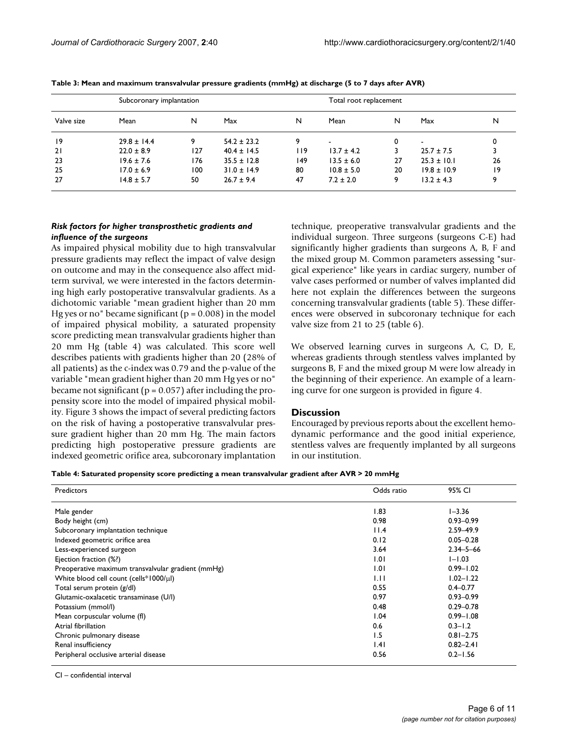|            | Subcoronary implantation |     |                 |     | Total root replacement |    |                 |    |
|------------|--------------------------|-----|-----------------|-----|------------------------|----|-----------------|----|
| Valve size | Mean                     | N   | Max             | N   | Mean                   | N  | Max             | N  |
| 19         | $29.8 \pm 14.4$          | 9   | $54.2 \pm 23.2$ |     | $\blacksquare$         | 0  | $\blacksquare$  |    |
| 21         | $22.0 \pm 8.9$           | 127 | $40.4 \pm 14.5$ | 119 | $13.7 \pm 4.2$         |    | $25.7 \pm 7.5$  |    |
| 23         | $19.6 \pm 7.6$           | 176 | $35.5 \pm 12.8$ | 149 | $13.5 \pm 6.0$         | 27 | $25.3 \pm 10.1$ | 26 |
| 25         | $17.0 \pm 6.9$           | 100 | $31.0 \pm 14.9$ | 80  | $10.8 \pm 5.0$         | 20 | $19.8 \pm 10.9$ | 19 |
| 27         | $14.8 \pm 5.7$           | 50  | $26.7 \pm 9.4$  | 47  | $7.2 \pm 2.0$          | 9  | $13.2 \pm 4.3$  | Q  |

**Table 3: Mean and maximum transvalvular pressure gradients (mmHg) at discharge (5 to 7 days after AVR)**

## *Risk factors for higher transprosthetic gradients and influence of the surgeons*

As impaired physical mobility due to high transvalvular pressure gradients may reflect the impact of valve design on outcome and may in the consequence also affect midterm survival, we were interested in the factors determining high early postoperative transvalvular gradients. As a dichotomic variable "mean gradient higher than 20 mm Hg yes or no" became significant ( $p = 0.008$ ) in the model of impaired physical mobility, a saturated propensity score predicting mean transvalvular gradients higher than 20 mm Hg (table 4) was calculated. This score well describes patients with gradients higher than 20 (28% of all patients) as the c-index was 0.79 and the p-value of the variable "mean gradient higher than 20 mm Hg yes or no" became not significant ( $p = 0.057$ ) after including the propensity score into the model of impaired physical mobility. Figure 3 shows the impact of several predicting factors on the risk of having a postoperative transvalvular pressure gradient higher than 20 mm Hg. The main factors predicting high postoperative pressure gradients are indexed geometric orifice area, subcoronary implantation technique, preoperative transvalvular gradients and the individual surgeon. Three surgeons (surgeons C-E) had significantly higher gradients than surgeons A, B, F and the mixed group M. Common parameters assessing "surgical experience" like years in cardiac surgery, number of valve cases performed or number of valves implanted did here not explain the differences between the surgeons concerning transvalvular gradients (table 5). These differences were observed in subcoronary technique for each valve size from 21 to 25 (table 6).

We observed learning curves in surgeons A, C, D, E, whereas gradients through stentless valves implanted by surgeons B, F and the mixed group M were low already in the beginning of their experience. An example of a learning curve for one surgeon is provided in figure 4.

## **Discussion**

Encouraged by previous reports about the excellent hemodynamic performance and the good initial experience, stentless valves are frequently implanted by all surgeons in our institution.

#### **Table 4: Saturated propensity score predicting a mean transvalvular gradient after AVR > 20 mmHg**

| Predictors                                         | Odds ratio | 95% CI          |
|----------------------------------------------------|------------|-----------------|
| Male gender                                        | 1.83       | $1 - 3.36$      |
| Body height (cm)                                   | 0.98       | $0.93 - 0.99$   |
| Subcoronary implantation technique                 | 11.4       | $2.59 - 49.9$   |
| Indexed geometric orifice area                     | 0.12       | $0.05 - 0.28$   |
| Less-experienced surgeon                           | 3.64       | $2.34 - 5 - 66$ |
| Ejection fraction (%?)                             | 1.01       | $I - I.03$      |
| Preoperative maximum transvalvular gradient (mmHg) | 1.01       | $0.99 - 1.02$   |
| White blood cell count (cells*1000/µl)             | 1.11       | $1.02 - 1.22$   |
| Total serum protein (g/dl)                         | 0.55       | $0.4 - 0.77$    |
| Glutamic-oxalacetic transaminase (U/I)             | 0.97       | $0.93 - 0.99$   |
| Potassium (mmol/l)                                 | 0.48       | $0.29 - 0.78$   |
| Mean corpuscular volume (fl)                       | 1.04       | $0.99 - 1.08$   |
| Atrial fibrillation                                | 0.6        | $0.3 - 1.2$     |
| Chronic pulmonary disease                          | 1.5        | $0.81 - 2.75$   |
| Renal insufficiency                                | 1.41       | $0.82 - 2.41$   |
| Peripheral occlusive arterial disease              | 0.56       | $0.2 - 1.56$    |

CI – confidential interval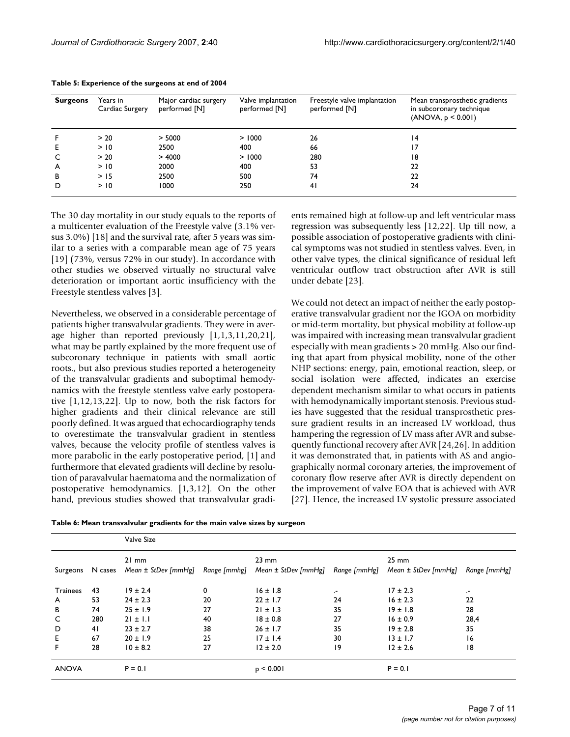| <b>Surgeons</b> | Years in<br>Cardiac Surgery | Major cardiac surgery<br>performed [N] | Valve implantation<br>performed [N] | Freestyle valve implantation<br>performed [N] | Mean transprosthetic gradients<br>in subcoronary technique<br>(ANOVA, p < 0.001) |
|-----------------|-----------------------------|----------------------------------------|-------------------------------------|-----------------------------------------------|----------------------------------------------------------------------------------|
|                 | > 20                        | > 5000                                 | > 1000                              | 26                                            | 4                                                                                |
| Е               | > 10                        | 2500                                   | 400                                 | 66                                            | 17                                                                               |
| C               | > 20                        | > 4000                                 | > 1000                              | 280                                           | 18                                                                               |
| A               | > 10                        | 2000                                   | 400                                 | 53                                            | 22                                                                               |
| в               | >15                         | 2500                                   | 500                                 | 74                                            | 22                                                                               |
| D               | > 10                        | 1000                                   | 250                                 | 41                                            | 24                                                                               |

#### **Table 5: Experience of the surgeons at end of 2004**

The 30 day mortality in our study equals to the reports of a multicenter evaluation of the Freestyle valve (3.1% versus 3.0%) [18] and the survival rate, after 5 years was similar to a series with a comparable mean age of 75 years [19] (73%, versus 72% in our study). In accordance with other studies we observed virtually no structural valve deterioration or important aortic insufficiency with the Freestyle stentless valves [3].

Nevertheless, we observed in a considerable percentage of patients higher transvalvular gradients. They were in average higher than reported previously [1,1,3,11,20,21], what may be partly explained by the more frequent use of subcoronary technique in patients with small aortic roots., but also previous studies reported a heterogeneity of the transvalvular gradients and suboptimal hemodynamics with the freestyle stentless valve early postoperative [1,12,13,22]. Up to now, both the risk factors for higher gradients and their clinical relevance are still poorly defined. It was argued that echocardiography tends to overestimate the transvalvular gradient in stentless valves, because the velocity profile of stentless valves is more parabolic in the early postoperative period, [1] and furthermore that elevated gradients will decline by resolution of paravalvular haematoma and the normalization of postoperative hemodynamics. [1,3,12]. On the other hand, previous studies showed that transvalvular gradients remained high at follow-up and left ventricular mass regression was subsequently less [12,22]. Up till now, a possible association of postoperative gradients with clinical symptoms was not studied in stentless valves. Even, in other valve types, the clinical significance of residual left ventricular outflow tract obstruction after AVR is still under debate [23].

We could not detect an impact of neither the early postoperative transvalvular gradient nor the IGOA on morbidity or mid-term mortality, but physical mobility at follow-up was impaired with increasing mean transvalvular gradient especially with mean gradients > 20 mmHg. Also our finding that apart from physical mobility, none of the other NHP sections: energy, pain, emotional reaction, sleep, or social isolation were affected, indicates an exercise dependent mechanism similar to what occurs in patients with hemodynamically important stenosis. Previous studies have suggested that the residual transprosthetic pressure gradient results in an increased LV workload, thus hampering the regression of LV mass after AVR and subsequently functional recovery after AVR [24,26]. In addition it was demonstrated that, in patients with AS and angiographically normal coronary arteries, the improvement of coronary flow reserve after AVR is directly dependent on the improvement of valve EOA that is achieved with AVR [27]. Hence, the increased LV systolic pressure associated

| Table 6: Mean transvalvular gradients for the main valve sizes by surgeon |  |  |  |
|---------------------------------------------------------------------------|--|--|--|
|                                                                           |  |  |  |

|                 |         | Valve Size              |              |                         |                 |                         |              |
|-----------------|---------|-------------------------|--------------|-------------------------|-----------------|-------------------------|--------------|
|                 |         | $21$ mm                 |              | $23 \text{ mm}$         |                 | $25 \text{ mm}$         |              |
| Surgeons        | N cases | Mean $\pm$ StDev [mmHg] | Range [mmhg] | Mean $\pm$ StDev [mmHg] | Range [mmHg]    | Mean $\pm$ StDev [mmHg] | Range [mmHg] |
| <b>Trainees</b> | 43      | $19 \pm 2.4$            | 0            | $16 \pm 1.8$            | $\cdot$ $\cdot$ | $17 \pm 2.3$            | .-           |
| A               | 53      | $24 \pm 2.3$            | 20           | $22 \pm 1.7$            | 24              | $16 \pm 2.3$            | 22           |
| B               | 74      | $25 \pm 1.9$            | 27           | $21 \pm 1.3$            | 35              | $19 \pm 1.8$            | 28           |
| C               | 280     | $21 \pm 1.1$            | 40           | $18 \pm 0.8$            | 27              | $16 \pm 0.9$            | 28,4         |
| D               | 41      | $23 \pm 2.7$            | 38           | $26 \pm 1.7$            | 35              | $19 \pm 2.8$            | 35           |
| E.              | 67      | $20 \pm 1.9$            | 25           | $17 \pm 1.4$            | 30              | $13 \pm 1.7$            | 16           |
| F               | 28      | $10 \pm 8.2$            | 27           | $12 \pm 2.0$            | 19              | $12 \pm 2.6$            | 18           |
| <b>ANOVA</b>    |         | $P = 0.1$               |              | $p \leq 0.001$          |                 | $P = 0.1$               |              |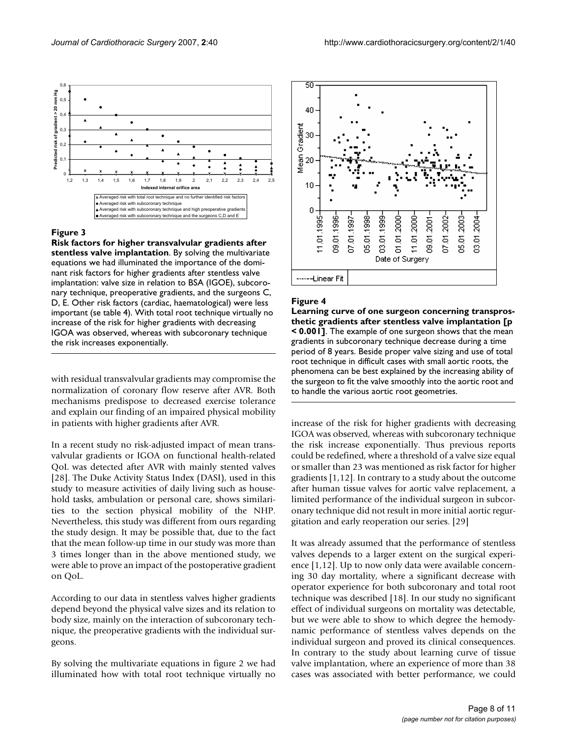

## Figure 3

**Risk factors for higher transvalvular gradients after stentless valve implantation**. By solving the multivariate equations we had illuminated the importance of the dominant risk factors for higher gradients after stentless valve implantation: valve size in relation to BSA (IGOE), subcoronary technique, preoperative gradients, and the surgeons C, D, E. Other risk factors (cardiac, haematological) were less important (se table 4). With total root technique virtually no increase of the risk for higher gradients with decreasing IGOA was observed, whereas with subcoronary technique the risk increases exponentially.

with residual transvalvular gradients may compromise the normalization of coronary flow reserve after AVR. Both mechanisms predispose to decreased exercise tolerance and explain our finding of an impaired physical mobility in patients with higher gradients after AVR.

In a recent study no risk-adjusted impact of mean transvalvular gradients or IGOA on functional health-related QoL was detected after AVR with mainly stented valves [28]. The Duke Activity Status Index (DASI), used in this study to measure activities of daily living such as household tasks, ambulation or personal care, shows similarities to the section physical mobility of the NHP. Nevertheless, this study was different from ours regarding the study design. It may be possible that, due to the fact that the mean follow-up time in our study was more than 3 times longer than in the above mentioned study, we were able to prove an impact of the postoperative gradient on QoL.

According to our data in stentless valves higher gradients depend beyond the physical valve sizes and its relation to body size, mainly on the interaction of subcoronary technique, the preoperative gradients with the individual surgeons.

By solving the multivariate equations in figure 2 we had illuminated how with total root technique virtually no



## Figure 4

**Learning curve of one surgeon concerning transprosthetic gradients after stentless valve implantation [p < 0.001]**. The example of one surgeon shows that the mean gradients in subcoronary technique decrease during a time period of 8 years. Beside proper valve sizing and use of total root technique in difficult cases with small aortic roots, the phenomena can be best explained by the increasing ability of the surgeon to fit the valve smoothly into the aortic root and to handle the various aortic root geometries.

increase of the risk for higher gradients with decreasing IGOA was observed, whereas with subcoronary technique the risk increase exponentially. Thus previous reports could be redefined, where a threshold of a valve size equal or smaller than 23 was mentioned as risk factor for higher gradients [1,12]. In contrary to a study about the outcome after human tissue valves for aortic valve replacement, a limited performance of the individual surgeon in subcoronary technique did not result in more initial aortic regurgitation and early reoperation our series. [29]

It was already assumed that the performance of stentless valves depends to a larger extent on the surgical experience [1,12]. Up to now only data were available concerning 30 day mortality, where a significant decrease with operator experience for both subcoronary and total root technique was described [18]. In our study no significant effect of individual surgeons on mortality was detectable, but we were able to show to which degree the hemodynamic performance of stentless valves depends on the individual surgeon and proved its clinical consequences. In contrary to the study about learning curve of tissue valve implantation, where an experience of more than 38 cases was associated with better performance, we could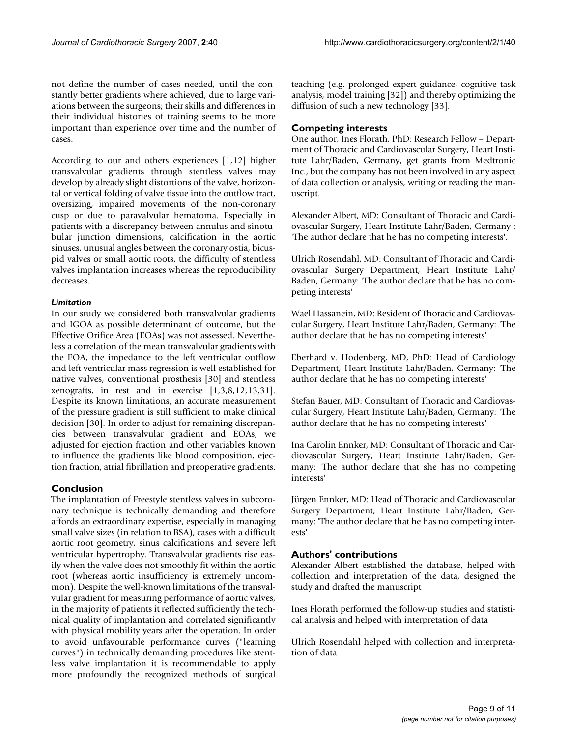not define the number of cases needed, until the constantly better gradients where achieved, due to large variations between the surgeons; their skills and differences in their individual histories of training seems to be more important than experience over time and the number of cases.

According to our and others experiences [1,12] higher transvalvular gradients through stentless valves may develop by already slight distortions of the valve, horizontal or vertical folding of valve tissue into the outflow tract, oversizing, impaired movements of the non-coronary cusp or due to paravalvular hematoma. Especially in patients with a discrepancy between annulus and sinotubular junction dimensions, calcification in the aortic sinuses, unusual angles between the coronary ostia, bicuspid valves or small aortic roots, the difficulty of stentless valves implantation increases whereas the reproducibility decreases.

## *Limitation*

In our study we considered both transvalvular gradients and IGOA as possible determinant of outcome, but the Effective Orifice Area (EOAs) was not assessed. Nevertheless a correlation of the mean transvalvular gradients with the EOA, the impedance to the left ventricular outflow and left ventricular mass regression is well established for native valves, conventional prosthesis [30] and stentless xenografts, in rest and in exercise [1,3,8,12,13,31]. Despite its known limitations, an accurate measurement of the pressure gradient is still sufficient to make clinical decision [30]. In order to adjust for remaining discrepancies between transvalvular gradient and EOAs, we adjusted for ejection fraction and other variables known to influence the gradients like blood composition, ejection fraction, atrial fibrillation and preoperative gradients.

# **Conclusion**

The implantation of Freestyle stentless valves in subcoronary technique is technically demanding and therefore affords an extraordinary expertise, especially in managing small valve sizes (in relation to BSA), cases with a difficult aortic root geometry, sinus calcifications and severe left ventricular hypertrophy. Transvalvular gradients rise easily when the valve does not smoothly fit within the aortic root (whereas aortic insufficiency is extremely uncommon). Despite the well-known limitations of the transvalvular gradient for measuring performance of aortic valves, in the majority of patients it reflected sufficiently the technical quality of implantation and correlated significantly with physical mobility years after the operation. In order to avoid unfavourable performance curves ("learning curves") in technically demanding procedures like stentless valve implantation it is recommendable to apply more profoundly the recognized methods of surgical

teaching (e.g. prolonged expert guidance, cognitive task analysis, model training [32]) and thereby optimizing the diffusion of such a new technology [33].

# **Competing interests**

One author, Ines Florath, PhD: Research Fellow – Department of Thoracic and Cardiovascular Surgery, Heart Institute Lahr/Baden, Germany, get grants from Medtronic Inc., but the company has not been involved in any aspect of data collection or analysis, writing or reading the manuscript.

Alexander Albert, MD: Consultant of Thoracic and Cardiovascular Surgery, Heart Institute Lahr/Baden, Germany : 'The author declare that he has no competing interests'.

Ulrich Rosendahl, MD: Consultant of Thoracic and Cardiovascular Surgery Department, Heart Institute Lahr/ Baden, Germany: 'The author declare that he has no competing interests'

Wael Hassanein, MD: Resident of Thoracic and Cardiovascular Surgery, Heart Institute Lahr/Baden, Germany: 'The author declare that he has no competing interests'

Eberhard v. Hodenberg, MD, PhD: Head of Cardiology Department, Heart Institute Lahr/Baden, Germany: 'The author declare that he has no competing interests'

Stefan Bauer, MD: Consultant of Thoracic and Cardiovascular Surgery, Heart Institute Lahr/Baden, Germany: 'The author declare that he has no competing interests'

Ina Carolin Ennker, MD: Consultant of Thoracic and Cardiovascular Surgery, Heart Institute Lahr/Baden, Germany: 'The author declare that she has no competing interests'

Jürgen Ennker, MD: Head of Thoracic and Cardiovascular Surgery Department, Heart Institute Lahr/Baden, Germany: 'The author declare that he has no competing interests'

# **Authors' contributions**

Alexander Albert established the database, helped with collection and interpretation of the data, designed the study and drafted the manuscript

Ines Florath performed the follow-up studies and statistical analysis and helped with interpretation of data

Ulrich Rosendahl helped with collection and interpretation of data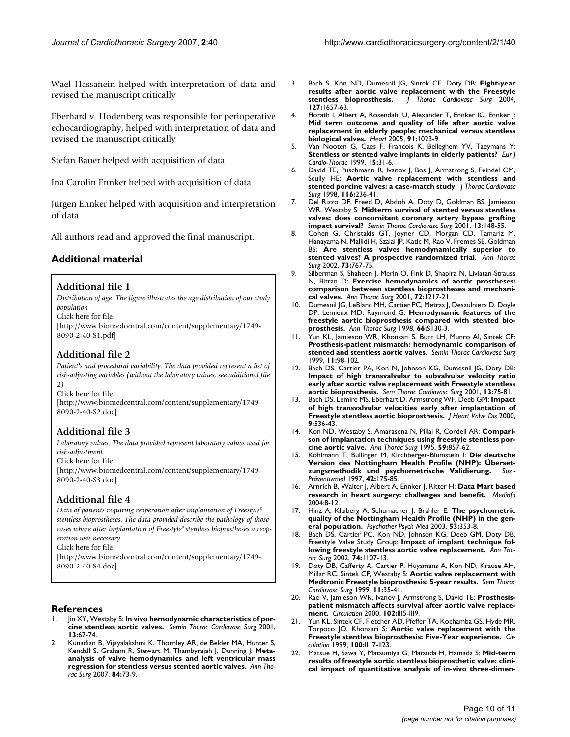Wael Hassanein helped with interpretation of data and revised the manuscript critically

Eberhard v. Hodenberg was responsible for perioperative echocardiography, helped with interpretation of data and revised the manuscript critically

Stefan Bauer helped with acquisition of data

Ina Carolin Ennker helped with acquisition of data

Jürgen Ennker helped with acquisition and interpretation of data

All authors read and approved the final manuscript.

## **Additional material**

**Additional file 1**

*Distribution of age. The figure illustrates the age distribution of our study population*

Click here for file

[\[http://www.biomedcentral.com/content/supplementary/1749-](http://www.biomedcentral.com/content/supplementary/1749-8090-2-40-S1.pdf) 8090-2-40-S1.pdf]

#### **Additional file 2**

*Patient's and procedural variability. The data provided represent a list of risk-adjusting variables (without the laboratory values, see additional file 2)*

Click here for file

[\[http://www.biomedcentral.com/content/supplementary/1749-](http://www.biomedcentral.com/content/supplementary/1749-8090-2-40-S2.doc) 8090-2-40-S2.doc]

## **Additional file 3**

*Laboratory values. The data provided represent laboratory values used for risk-adjustment*

Click here for file

[\[http://www.biomedcentral.com/content/supplementary/1749-](http://www.biomedcentral.com/content/supplementary/1749-8090-2-40-S3.doc) 8090-2-40-S3.doc]

# **Additional file 4**

*Data of patients requiring reoperation after implantation of Freestyle® stentless bioprostheses. The data provided describe the pathology of those cases where after implantation of Freestyle® stentless bioprostheses a reoperation was necessary*

Click here for file

[\[http://www.biomedcentral.com/content/supplementary/1749-](http://www.biomedcentral.com/content/supplementary/1749-8090-2-40-S4.doc) 8090-2-40-S4.doc]

## **References**

- Jin XY, Westaby S: [In vivo hemodynamic characteristics of por](http://www.ncbi.nlm.nih.gov/entrez/query.fcgi?cmd=Retrieve&db=PubMed&dopt=Abstract&list_uids=11805952)**[cine stentless aortic valves.](http://www.ncbi.nlm.nih.gov/entrez/query.fcgi?cmd=Retrieve&db=PubMed&dopt=Abstract&list_uids=11805952)** *Semin Thorac Cardiovasc Surg* 2001, **13:**67-74.
- 2. Kunadian B, Vijayalakshmi K, Thornley AR, de Belder MA, Hunter S, Kendall S, Graham R, Stewart M, Thambyrajah J, Dunning J: **[Meta](http://www.ncbi.nlm.nih.gov/entrez/query.fcgi?cmd=Retrieve&db=PubMed&dopt=Abstract&list_uids=17588387)[analysis of valve hemodynamics and left ventricular mass](http://www.ncbi.nlm.nih.gov/entrez/query.fcgi?cmd=Retrieve&db=PubMed&dopt=Abstract&list_uids=17588387) [regression for stentless versus stented aortic valves.](http://www.ncbi.nlm.nih.gov/entrez/query.fcgi?cmd=Retrieve&db=PubMed&dopt=Abstract&list_uids=17588387)** *Ann Thorac Surg* 2007, **84:**73-9.
- 3. Bach S, Kon ND, Dumesnil JG, Sintek CF, Doty DB: **[Eight-year](http://www.ncbi.nlm.nih.gov/entrez/query.fcgi?cmd=Retrieve&db=PubMed&dopt=Abstract&list_uids=15173720) [results after aortic valve replacement with the Freestyle](http://www.ncbi.nlm.nih.gov/entrez/query.fcgi?cmd=Retrieve&db=PubMed&dopt=Abstract&list_uids=15173720) [stentless bioprosthesis.](http://www.ncbi.nlm.nih.gov/entrez/query.fcgi?cmd=Retrieve&db=PubMed&dopt=Abstract&list_uids=15173720)** *J Thorac Cardiovasc Surg* 2004, **127:**1657-63.
- 4. Florath I, Albert A, Rosendahl U, Alexander T, Ennker IC, Ennker J: **Mid term outcome and quality of life after aortic valve [replacement in elderly people: mechanical versus stentless](http://www.ncbi.nlm.nih.gov/entrez/query.fcgi?cmd=Retrieve&db=PubMed&dopt=Abstract&list_uids=16020589) [biological valves.](http://www.ncbi.nlm.nih.gov/entrez/query.fcgi?cmd=Retrieve&db=PubMed&dopt=Abstract&list_uids=16020589)** *Heart* 2005, **91:**1023-9.
- 5. Van Nooten G, Caes F, Francois K, Belleghem YV, Taeymans Y: **Stentless or stented valve implants in elderly patients?** *Eur J Cardio-Thorac* 1999, **15:**31-6.
- 6. David TE, Puschmann R, Ivanov J, Bos J, Armstrong S, Feindel CM, Scully HE: **[Aortic valve replacement with stentless and](http://www.ncbi.nlm.nih.gov/entrez/query.fcgi?cmd=Retrieve&db=PubMed&dopt=Abstract&list_uids=9699575) [stented porcine valves: a case-match study.](http://www.ncbi.nlm.nih.gov/entrez/query.fcgi?cmd=Retrieve&db=PubMed&dopt=Abstract&list_uids=9699575)** *J Thorac Cardiovasc Surg* 1998, **116:**236-41.
- 7. Del Rizzo DF, Freed D, Abdoh A, Doty D, Goldman BS, Jamieson WR, Westaby S: **[Midterm survival of stented versus stentless](http://www.ncbi.nlm.nih.gov/entrez/query.fcgi?cmd=Retrieve&db=PubMed&dopt=Abstract&list_uids=11805964) [valves: does concomitant coronary artery bypass grafting](http://www.ncbi.nlm.nih.gov/entrez/query.fcgi?cmd=Retrieve&db=PubMed&dopt=Abstract&list_uids=11805964) [impact survival?](http://www.ncbi.nlm.nih.gov/entrez/query.fcgi?cmd=Retrieve&db=PubMed&dopt=Abstract&list_uids=11805964)** *Semin Thorac Cardiovasc Surg* 2001, **13:**148-55.
- 8. Cohen G, Christakis GT, Joyner CD, Morgan CD, Tamariz M, Hanayama N, Mallidi H, Szalai JP, Katic M, Rao V, Fremes SE, Goldman BS: **[Are stentless valves hemodynamically superior to](http://www.ncbi.nlm.nih.gov/entrez/query.fcgi?cmd=Retrieve&db=PubMed&dopt=Abstract&list_uids=11899180) [stented valves? A prospective randomized trial.](http://www.ncbi.nlm.nih.gov/entrez/query.fcgi?cmd=Retrieve&db=PubMed&dopt=Abstract&list_uids=11899180)** *Ann Thorac Surg* 2002, **73:**767-75.
- 9. Silberman S, Shaheen J, Merin O, Fink D, Shapira N, Liviatan-Strauss N, Bitran D: **[Exercise hemodynamics of aortic prostheses:](http://www.ncbi.nlm.nih.gov/entrez/query.fcgi?cmd=Retrieve&db=PubMed&dopt=Abstract&list_uids=11603439) [comparison between stentless bioprostheses and mechani](http://www.ncbi.nlm.nih.gov/entrez/query.fcgi?cmd=Retrieve&db=PubMed&dopt=Abstract&list_uids=11603439)[cal valves.](http://www.ncbi.nlm.nih.gov/entrez/query.fcgi?cmd=Retrieve&db=PubMed&dopt=Abstract&list_uids=11603439)** *Ann Thorac Surg* 2001, **72:**1217-21.
- 10. Dumesnil JG, LeBlanc MH, Cartier PC, Metras J, Desaulniers D, Doyle DP, Lemieux MD, Raymond G: **[Hemodynamic features of the](http://www.ncbi.nlm.nih.gov/entrez/query.fcgi?cmd=Retrieve&db=PubMed&dopt=Abstract&list_uids=9930433) [freestyle aortic bioprosthesis compared with stented bio](http://www.ncbi.nlm.nih.gov/entrez/query.fcgi?cmd=Retrieve&db=PubMed&dopt=Abstract&list_uids=9930433)[prosthesis.](http://www.ncbi.nlm.nih.gov/entrez/query.fcgi?cmd=Retrieve&db=PubMed&dopt=Abstract&list_uids=9930433)** *Ann Thorac Surg* 1998, **66:**S130-3.
- 11. Yun KL, Jamieson WR, Khonsari S, Burr LH, Munro AI, Sintek CF: **[Prosthesis-patient mismatch: hemodynamic comparison of](http://www.ncbi.nlm.nih.gov/entrez/query.fcgi?cmd=Retrieve&db=PubMed&dopt=Abstract&list_uids=10660175) [stented and stentless aortic valves.](http://www.ncbi.nlm.nih.gov/entrez/query.fcgi?cmd=Retrieve&db=PubMed&dopt=Abstract&list_uids=10660175)** *Semin Thorac Cardiovasc Surg* 1999, **11:**98-102.
- 12. Bach DS, Cartier PA, Kon N, Johnson KG, Dumesnil JG, Doty DB: **Impact of high transvalvular to subvalvular velocity ratio early after aortic valve replacement with Freestyle stentless aortic bioprosthesis.** *Sem Thorac Cardiovasc Surg* 2001, **13:**75-81.
- 13. Bach DS, Lemire MS, Eberhart D, Armstrong WF, Deeb GM: **[Impact](http://www.ncbi.nlm.nih.gov/entrez/query.fcgi?cmd=Retrieve&db=PubMed&dopt=Abstract&list_uids=10947047) [of high transvalvular velocities early after implantation of](http://www.ncbi.nlm.nih.gov/entrez/query.fcgi?cmd=Retrieve&db=PubMed&dopt=Abstract&list_uids=10947047) [Freestyle stentless aortic bioprosthesis.](http://www.ncbi.nlm.nih.gov/entrez/query.fcgi?cmd=Retrieve&db=PubMed&dopt=Abstract&list_uids=10947047)** *J Heart Valve Dis* 2000, **9:**536-43.
- 14. Kon ND, Westaby S, Amarasena N, Pillai R, Cordell AR: **[Compari](http://www.ncbi.nlm.nih.gov/entrez/query.fcgi?cmd=Retrieve&db=PubMed&dopt=Abstract&list_uids=7695409)[son of implantation techniques using freestyle stentless por](http://www.ncbi.nlm.nih.gov/entrez/query.fcgi?cmd=Retrieve&db=PubMed&dopt=Abstract&list_uids=7695409)[cine aortic valve.](http://www.ncbi.nlm.nih.gov/entrez/query.fcgi?cmd=Retrieve&db=PubMed&dopt=Abstract&list_uids=7695409)** *Ann Thorac Surg* 1995, **59:**857-62.
- 15. Kohlmann T, Bullinger M, Kirchberger-Blumstein I: **Die deutsche Version des Nottingham Health Profile (NHP): Überset**zungsmethodik und psychometrische Validierung. *Präventivmed* 1997, **42:**175-85.
- 16. Arnrich B, Walter J, Albert A, Ennker J, Ritter H: **[Data Mart based](http://www.ncbi.nlm.nih.gov/entrez/query.fcgi?cmd=Retrieve&db=PubMed&dopt=Abstract&list_uids=15360764) [research in heart surgery: challenges and benefit.](http://www.ncbi.nlm.nih.gov/entrez/query.fcgi?cmd=Retrieve&db=PubMed&dopt=Abstract&list_uids=15360764)** *Medinfo* 2004:8-12.
- 17. Hinz A, Klaiberg A, Schumacher J, Brähler E: **The psychometric quality of the Nottingham Health Profile (NHP) in the general population.** *Psychother Psych Med* 2003, **53:**353-8.
- 18. Bach DS, Cartier PC, Kon ND, Johnson KG, Deeb GM, Doty DB, Freestyle Valve Study Group: **[Impact of implant technique fol](http://www.ncbi.nlm.nih.gov/entrez/query.fcgi?cmd=Retrieve&db=PubMed&dopt=Abstract&list_uids=12400753)[lowing freestyle stentless aortic valve replacement.](http://www.ncbi.nlm.nih.gov/entrez/query.fcgi?cmd=Retrieve&db=PubMed&dopt=Abstract&list_uids=12400753)** *Ann Thorac Surg* 2002, **74:**1107-13.
- 19. Doty DB, Cafferty A, Cartier P, Huysmans A, Kon ND, Krause AH, Millar RC, Sintek CF, Westaby S: **Aortic valve replacement with Medtronic Freestyle bioprosthesis: 5-year results.** *Sem Thorac Cardiovasc Surg* 1999, **11:**35-41.
- 20. Rao V, Jamieson WR, Ivanov J, Armstrong S, David TE: **[Prosthesis](http://www.ncbi.nlm.nih.gov/entrez/query.fcgi?cmd=Retrieve&db=PubMed&dopt=Abstract&list_uids=11082354)[patient mismatch affects survival after aortic valve replace](http://www.ncbi.nlm.nih.gov/entrez/query.fcgi?cmd=Retrieve&db=PubMed&dopt=Abstract&list_uids=11082354)[ment.](http://www.ncbi.nlm.nih.gov/entrez/query.fcgi?cmd=Retrieve&db=PubMed&dopt=Abstract&list_uids=11082354)** *Circulation* 2000, **102:**III5-III9.
- 21. Yun KL, Sintek CF, Fletcher AD, Pfeffer TA, Kochamba GS, Hyde MR, Torpoco JO, Khonsari S: **[Aortic valve replacement with the](http://www.ncbi.nlm.nih.gov/entrez/query.fcgi?cmd=Retrieve&db=PubMed&dopt=Abstract&list_uids=10567273) [Freestyle stentless bioprosthesis: Five-Year experience.](http://www.ncbi.nlm.nih.gov/entrez/query.fcgi?cmd=Retrieve&db=PubMed&dopt=Abstract&list_uids=10567273)** *Circulation* 1999, **100:**II17-II23.
- 22. Matsue H, Sawa Y, Matsumiya G, Matsuda H, Hamada S: **[Mid-term](http://www.ncbi.nlm.nih.gov/entrez/query.fcgi?cmd=Retrieve&db=PubMed&dopt=Abstract&list_uids=16245502) [results of freestyle aortic stentless bioprosthetic valve: clini](http://www.ncbi.nlm.nih.gov/entrez/query.fcgi?cmd=Retrieve&db=PubMed&dopt=Abstract&list_uids=16245502)[cal impact of quantitative analysis of in-vivo three-dimen](http://www.ncbi.nlm.nih.gov/entrez/query.fcgi?cmd=Retrieve&db=PubMed&dopt=Abstract&list_uids=16245502)-**